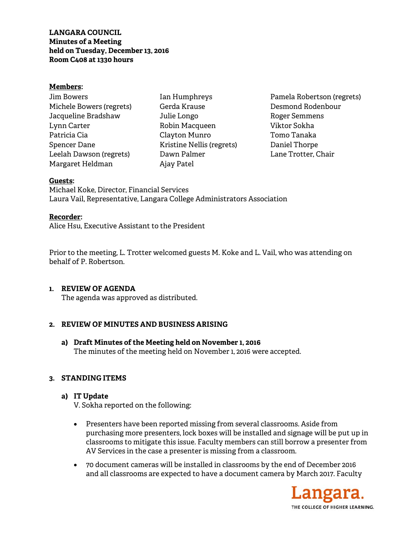**LANGARA COUNCIL Minutes of a Meeting held on Tuesday, December 13, 2016 Room C408 at 1330 hours** 

### **Members:**

| Jim Bowers               |
|--------------------------|
| Michele Bowers (regrets) |
| Jacqueline Bradshaw      |
| Lynn Carter              |
| Patricia Cia             |
| Spencer Dane             |
| Leelah Dawson (regrets)  |
| Margaret Heldman         |

Ian Humphreys Gerda Krause Julie Longo Robin Macqueen Clayton Munro Kristine Nellis (regrets) Dawn Palmer Ajay Patel

Pamela Robertson (regrets) Desmond Rodenbour Roger Semmens Viktor Sokha Tomo Tanaka Daniel Thorpe Lane Trotter, Chair

### **Guests:**

Michael Koke, Director, Financial Services Laura Vail, Representative, Langara College Administrators Association

### **Recorder:**

Alice Hsu, Executive Assistant to the President

Prior to the meeting, L. Trotter welcomed guests M. Koke and L. Vail, who was attending on behalf of P. Robertson.

### **1. REVIEW OF AGENDA**

The agenda was approved as distributed.

## **2. REVIEW OF MINUTES AND BUSINESS ARISING**

**a) Draft Minutes of the Meeting held on November 1, 2016**  The minutes of the meeting held on November 1, 2016 were accepted.

## **3. STANDING ITEMS**

### **a) IT Update**

V. Sokha reported on the following:

- Presenters have been reported missing from several classrooms. Aside from purchasing more presenters, lock boxes will be installed and signage will be put up in classrooms to mitigate this issue. Faculty members can still borrow a presenter from AV Services in the case a presenter is missing from a classroom.
- 70 document cameras will be installed in classrooms by the end of December 2016 and all classrooms are expected to have a document camera by March 2017. Faculty

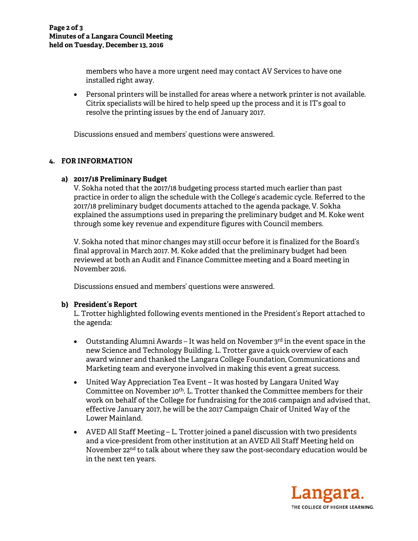members who have a more urgent need may contact AV Services to have one installed right away.

 Personal printers will be installed for areas where a network printer is not available. Citrix specialists will be hired to help speed up the process and it is IT's goal to resolve the printing issues by the end of January 2017.

Discussions ensued and members' questions were answered.

# **4. FOR INFORMATION**

# **a) 2017/18 Preliminary Budget**

V. Sokha noted that the 2017/18 budgeting process started much earlier than past practice in order to align the schedule with the College's academic cycle. Referred to the 2017/18 preliminary budget documents attached to the agenda package, V. Sokha explained the assumptions used in preparing the preliminary budget and M. Koke went through some key revenue and expenditure figures with Council members.

V. Sokha noted that minor changes may still occur before it is finalized for the Board's final approval in March 2017. M. Koke added that the preliminary budget had been reviewed at both an Audit and Finance Committee meeting and a Board meeting in November 2016.

Discussions ensued and members' questions were answered.

# **b) President's Report**

L. Trotter highlighted following events mentioned in the President's Report attached to the agenda:

- Outstanding Alumni Awards It was held on November  $3<sup>rd</sup>$  in the event space in the new Science and Technology Building. L. Trotter gave a quick overview of each award winner and thanked the Langara College Foundation, Communications and Marketing team and everyone involved in making this event a great success.
- United Way Appreciation Tea Event It was hosted by Langara United Way Committee on November 10<sup>th</sup>. L. Trotter thanked the Committee members for their work on behalf of the College for fundraising for the 2016 campaign and advised that, effective January 2017, he will be the 2017 Campaign Chair of United Way of the Lower Mainland.
- AVED All Staff Meeting L. Trotter joined a panel discussion with two presidents and a vice-president from other institution at an AVED All Staff Meeting held on November 22<sup>nd</sup> to talk about where they saw the post-secondary education would be in the next ten years.